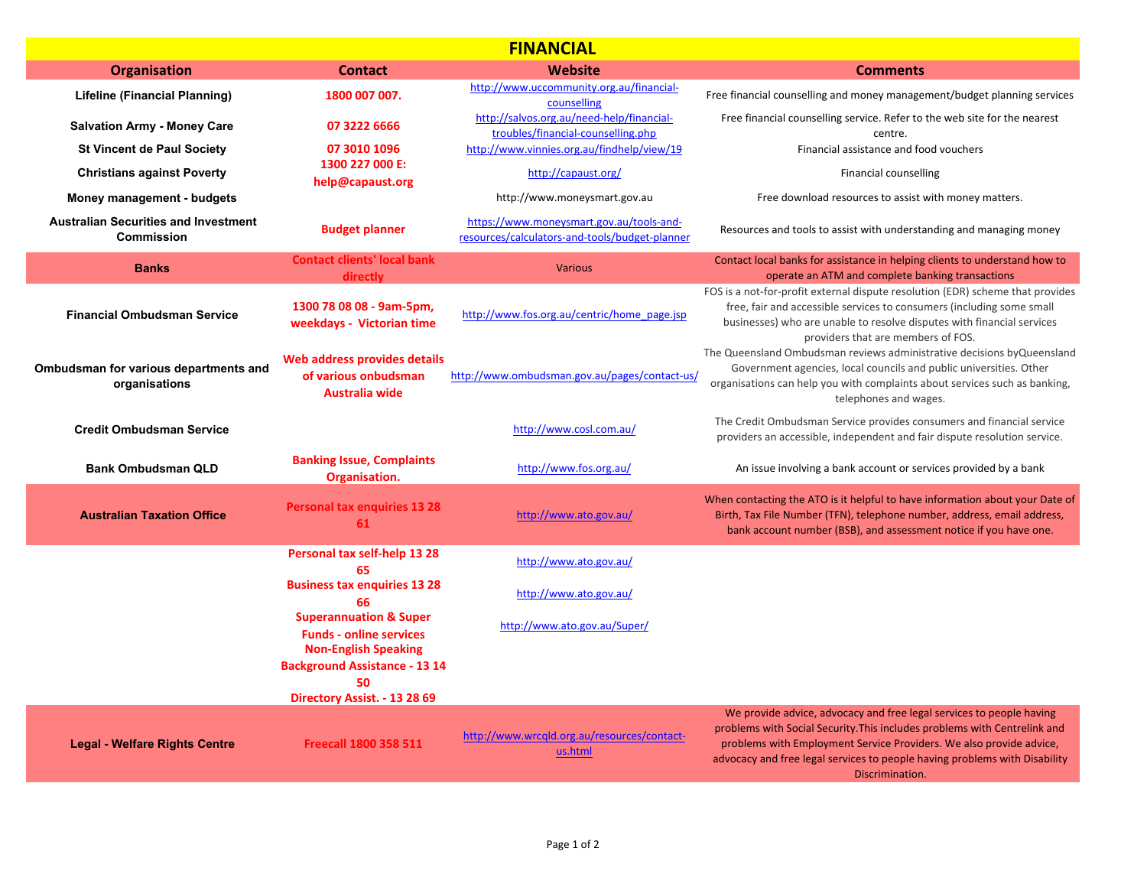| <b>FINANCIAL</b>                                                 |                                                                                                    |                                                                                            |                                                                                                                                                                                                                                                                                                                           |
|------------------------------------------------------------------|----------------------------------------------------------------------------------------------------|--------------------------------------------------------------------------------------------|---------------------------------------------------------------------------------------------------------------------------------------------------------------------------------------------------------------------------------------------------------------------------------------------------------------------------|
| <b>Organisation</b>                                              | <b>Contact</b>                                                                                     | <b>Website</b>                                                                             | <b>Comments</b>                                                                                                                                                                                                                                                                                                           |
| Lifeline (Financial Planning)                                    | 1800 007 007.                                                                                      | http://www.uccommunity.org.au/financial-<br>counselling                                    | Free financial counselling and money management/budget planning services                                                                                                                                                                                                                                                  |
| <b>Salvation Army - Money Care</b>                               | 07 3222 6666                                                                                       | http://salvos.org.au/need-help/financial-<br>troubles/financial-counselling.php            | Free financial counselling service. Refer to the web site for the nearest<br>centre.                                                                                                                                                                                                                                      |
| <b>St Vincent de Paul Society</b>                                | 07 3010 1096                                                                                       | http://www.vinnies.org.au/findhelp/view/19                                                 | Financial assistance and food vouchers                                                                                                                                                                                                                                                                                    |
| <b>Christians against Poverty</b>                                | 1300 227 000 E:<br>help@capaust.org                                                                | http://capaust.org/                                                                        | Financial counselling                                                                                                                                                                                                                                                                                                     |
| Money management - budgets                                       |                                                                                                    | http://www.moneysmart.gov.au                                                               | Free download resources to assist with money matters.                                                                                                                                                                                                                                                                     |
| <b>Australian Securities and Investment</b><br><b>Commission</b> | <b>Budget planner</b>                                                                              | https://www.moneysmart.gov.au/tools-and-<br>resources/calculators-and-tools/budget-planner | Resources and tools to assist with understanding and managing money                                                                                                                                                                                                                                                       |
| <b>Banks</b>                                                     | <b>Contact clients' local bank</b><br>directly                                                     | <b>Various</b>                                                                             | Contact local banks for assistance in helping clients to understand how to<br>operate an ATM and complete banking transactions                                                                                                                                                                                            |
| <b>Financial Ombudsman Service</b>                               | 1300 78 08 08 - 9am-5pm,<br>weekdays - Victorian time                                              | http://www.fos.org.au/centric/home_page.jsp                                                | FOS is a not-for-profit external dispute resolution (EDR) scheme that provides<br>free, fair and accessible services to consumers (including some small<br>businesses) who are unable to resolve disputes with financial services<br>providers that are members of FOS.                                                   |
| Ombudsman for various departments and<br>organisations           | Web address provides details<br>of various onbudsman<br>Australia wide                             | http://www.ombudsman.gov.au/pages/contact-us/                                              | The Queensland Ombudsman reviews administrative decisions by Queensland<br>Government agencies, local councils and public universities. Other<br>organisations can help you with complaints about services such as banking,<br>telephones and wages.                                                                      |
| <b>Credit Ombudsman Service</b>                                  |                                                                                                    | http://www.cosl.com.au/                                                                    | The Credit Ombudsman Service provides consumers and financial service<br>providers an accessible, independent and fair dispute resolution service.                                                                                                                                                                        |
| <b>Bank Ombudsman QLD</b>                                        | <b>Banking Issue, Complaints</b><br>Organisation.                                                  | http://www.fos.org.au/                                                                     | An issue involving a bank account or services provided by a bank                                                                                                                                                                                                                                                          |
| <b>Australian Taxation Office</b>                                | <b>Personal tax enquiries 13 28</b><br>61                                                          | http://www.ato.gov.au/                                                                     | When contacting the ATO is it helpful to have information about your Date of<br>Birth, Tax File Number (TFN), telephone number, address, email address,<br>bank account number (BSB), and assessment notice if you have one.                                                                                              |
|                                                                  | Personal tax self-help 13 28<br>65                                                                 | http://www.ato.gov.au/                                                                     |                                                                                                                                                                                                                                                                                                                           |
|                                                                  | <b>Business tax enquiries 13 28</b><br>66                                                          | http://www.ato.gov.au/                                                                     |                                                                                                                                                                                                                                                                                                                           |
|                                                                  | <b>Superannuation &amp; Super</b><br><b>Funds - online services</b><br><b>Non-English Speaking</b> | http://www.ato.gov.au/Super/                                                               |                                                                                                                                                                                                                                                                                                                           |
|                                                                  | <b>Background Assistance - 13 14</b><br>50<br>Directory Assist. - 13 28 69                         |                                                                                            |                                                                                                                                                                                                                                                                                                                           |
| <b>Legal - Welfare Rights Centre</b>                             | <b>Freecall 1800 358 511</b>                                                                       | http://www.wrcqld.org.au/resources/contact-<br>us.html                                     | We provide advice, advocacy and free legal services to people having<br>problems with Social Security. This includes problems with Centrelink and<br>problems with Employment Service Providers. We also provide advice,<br>advocacy and free legal services to people having problems with Disability<br>Discrimination. |